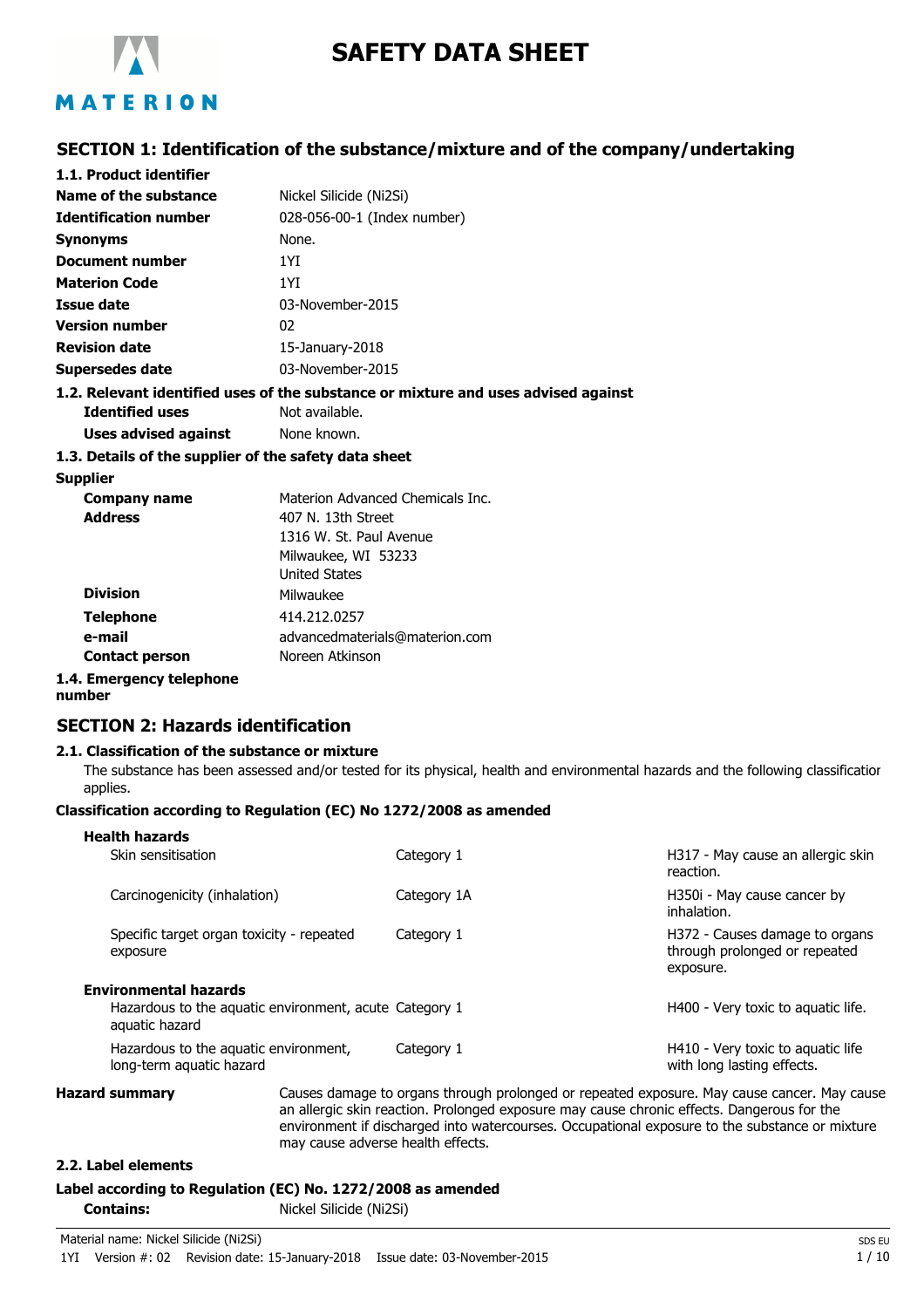

# **SAFETY DATA SHEET**

### **SECTION 1: Identification of the substance/mixture and of the company/undertaking**

| 1.1. Product identifier                               |                                                                                    |
|-------------------------------------------------------|------------------------------------------------------------------------------------|
| <b>Name of the substance</b>                          | Nickel Silicide (Ni2Si)                                                            |
| <b>Identification number</b>                          | 028-056-00-1 (Index number)                                                        |
| Synonyms                                              | None.                                                                              |
| Document number                                       | 1YI                                                                                |
| <b>Materion Code</b>                                  | 1YI                                                                                |
| Issue date                                            | 03-November-2015                                                                   |
| <b>Version number</b>                                 | 02                                                                                 |
| <b>Revision date</b>                                  | 15-January-2018                                                                    |
| <b>Supersedes date</b>                                | 03-November-2015                                                                   |
|                                                       | 1.2. Relevant identified uses of the substance or mixture and uses advised against |
| <b>Identified uses</b>                                | Not available.                                                                     |
| Uses advised against                                  | None known.                                                                        |
| 1.3. Details of the supplier of the safety data sheet |                                                                                    |
| <b>Supplier</b>                                       |                                                                                    |
| <b>Company name</b>                                   | Materion Advanced Chemicals Inc.                                                   |
| <b>Address</b>                                        | 407 N. 13th Street                                                                 |
|                                                       | 1316 W. St. Paul Avenue                                                            |
|                                                       | Milwaukee, WI 53233                                                                |
|                                                       | <b>United States</b>                                                               |
| <b>Division</b>                                       | Milwaukee                                                                          |
| ممالحها والمتلا                                       | 111.212.0257                                                                       |

**Telephone** 414.212.0257 **e-mail Contact person** advancedmaterials@materion.com Noreen Atkinson

## **1.4. Emergency telephone**

### **number**

### **SECTION 2: Hazards identification**

#### **2.1. Classification of the substance or mixture**

The substance has been assessed and/or tested for its physical, health and environmental hazards and the following classification applies.

#### **Classification according to Regulation (EC) No 1272/2008 as amended**

| H317 - May cause an allergic skin<br>Skin sensitisation<br>Category 1<br>reaction.<br>Carcinogenicity (inhalation)<br>H350i - May cause cancer by<br>Category 1A<br>inhalation.<br>Specific target organ toxicity - repeated<br>Category 1<br>H372 - Causes damage to organs<br>through prolonged or repeated<br>exposure<br>exposure.<br><b>Environmental hazards</b><br>Hazardous to the aquatic environment, acute Category 1<br>H400 - Very toxic to aguatic life.<br>aquatic hazard<br>Hazardous to the aquatic environment,<br>H410 - Very toxic to aquatic life<br>Category 1<br>with long lasting effects.<br>long-term aquatic hazard | <b>Hazard summary</b> |  | Causes damage to organs through prolonged or repeated exposure. May cause cancer. May cause |  |
|------------------------------------------------------------------------------------------------------------------------------------------------------------------------------------------------------------------------------------------------------------------------------------------------------------------------------------------------------------------------------------------------------------------------------------------------------------------------------------------------------------------------------------------------------------------------------------------------------------------------------------------------|-----------------------|--|---------------------------------------------------------------------------------------------|--|
|                                                                                                                                                                                                                                                                                                                                                                                                                                                                                                                                                                                                                                                |                       |  |                                                                                             |  |
|                                                                                                                                                                                                                                                                                                                                                                                                                                                                                                                                                                                                                                                |                       |  |                                                                                             |  |
|                                                                                                                                                                                                                                                                                                                                                                                                                                                                                                                                                                                                                                                |                       |  |                                                                                             |  |
|                                                                                                                                                                                                                                                                                                                                                                                                                                                                                                                                                                                                                                                |                       |  |                                                                                             |  |
| <b>Health hazards</b>                                                                                                                                                                                                                                                                                                                                                                                                                                                                                                                                                                                                                          |                       |  |                                                                                             |  |

an allergic skin reaction. Prolonged exposure may cause chronic effects. Dangerous for the environment if discharged into watercourses. Occupational exposure to the substance or mixture may cause adverse health effects.

#### **2.2. Label elements**

#### **Label according to Regulation (EC) No. 1272/2008 as amended**

**Contains:** Nickel Silicide (Ni2Si)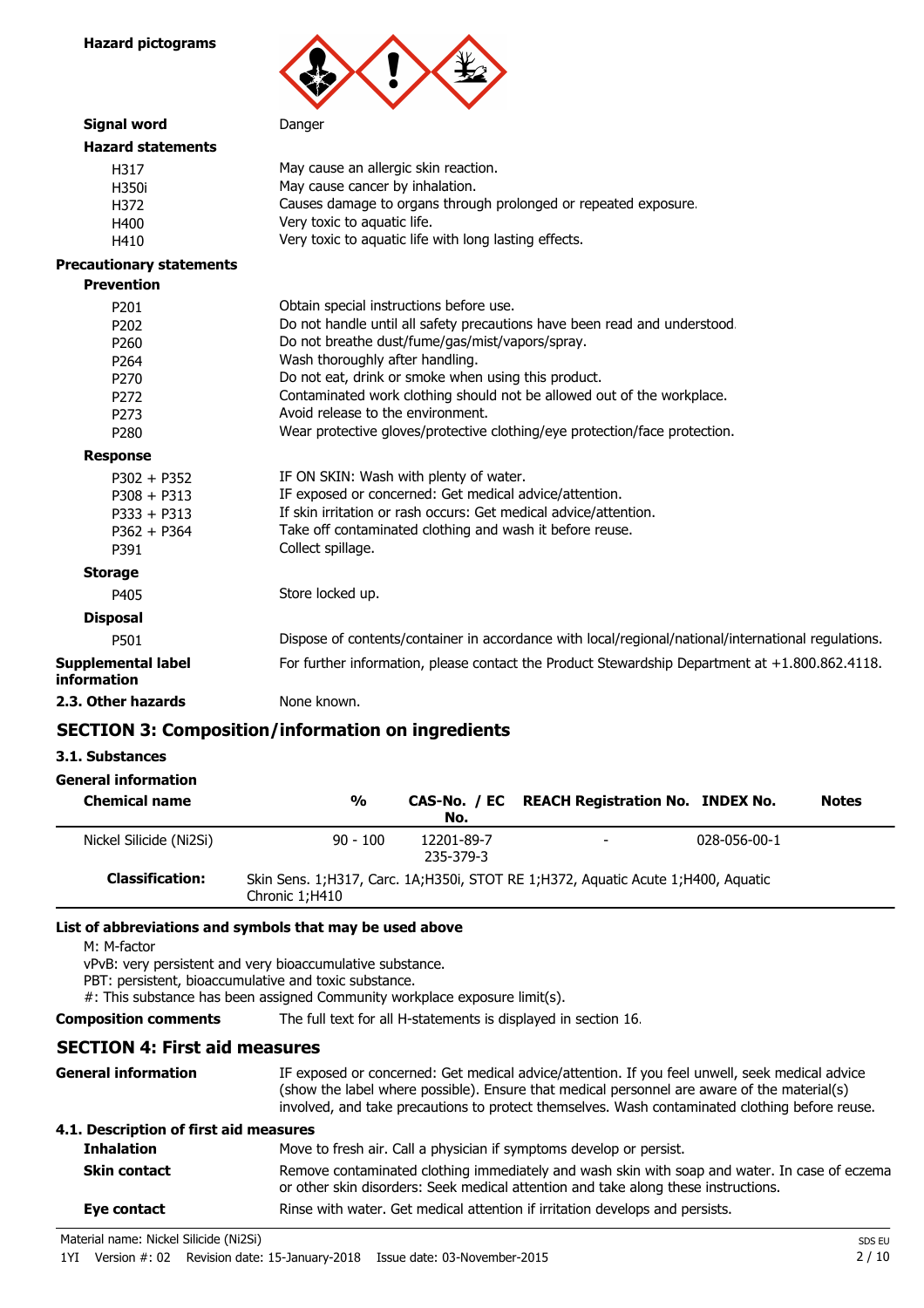

### **Hazard statements** H317 May cause an allergic skin reaction. H350i May cause cancer by inhalation. H372 Causes damage to organs through prolonged or repeated exposure. H400 Very toxic to aquatic life. H410 Very toxic to aquatic life with long lasting effects.

#### **Precautionary statements**

| <b>Precautionary statements</b>          |                                                                                                     |
|------------------------------------------|-----------------------------------------------------------------------------------------------------|
| <b>Prevention</b>                        |                                                                                                     |
| P <sub>201</sub>                         | Obtain special instructions before use.                                                             |
| P <sub>202</sub>                         | Do not handle until all safety precautions have been read and understood.                           |
| P <sub>260</sub>                         | Do not breathe dust/fume/gas/mist/vapors/spray.                                                     |
| P <sub>264</sub>                         | Wash thoroughly after handling.                                                                     |
| P <sub>270</sub>                         | Do not eat, drink or smoke when using this product.                                                 |
| P <sub>272</sub>                         | Contaminated work clothing should not be allowed out of the workplace.                              |
| P <sub>273</sub>                         | Avoid release to the environment.                                                                   |
| P <sub>280</sub>                         | Wear protective gloves/protective clothing/eye protection/face protection.                          |
| <b>Response</b>                          |                                                                                                     |
| $P302 + P352$                            | IF ON SKIN: Wash with plenty of water.                                                              |
| $P308 + P313$                            | IF exposed or concerned: Get medical advice/attention.                                              |
| $P333 + P313$                            | If skin irritation or rash occurs: Get medical advice/attention.                                    |
| $P362 + P364$                            | Take off contaminated clothing and wash it before reuse.                                            |
| P391                                     | Collect spillage.                                                                                   |
| <b>Storage</b>                           |                                                                                                     |
| P405                                     | Store locked up.                                                                                    |
| <b>Disposal</b>                          |                                                                                                     |
| P501                                     | Dispose of contents/container in accordance with local/regional/national/international regulations. |
| <b>Supplemental label</b><br>information | For further information, please contact the Product Stewardship Department at $+1.800.862.4118$ .   |
| 2.3. Other hazards                       | None known.                                                                                         |

### **SECTION 3: Composition/information on ingredients**

#### **3.1. Substances**

### **General information**

| <b>Chemical name</b>    | $\frac{0}{0}$  | No.                     | CAS-No. / EC REACH Registration No. INDEX No.                                    |              | <b>Notes</b> |
|-------------------------|----------------|-------------------------|----------------------------------------------------------------------------------|--------------|--------------|
| Nickel Silicide (Ni2Si) | $90 - 100$     | 12201-89-7<br>235-379-3 | $\overline{\phantom{a}}$                                                         | 028-056-00-1 |              |
| <b>Classification:</b>  | Chronic 1:H410 |                         | Skin Sens. 1;H317, Carc. 1A;H350i, STOT RE 1;H372, Aquatic Acute 1;H400, Aquatic |              |              |

### **List of abbreviations and symbols that may be used above**

M: M-factor

vPvB: very persistent and very bioaccumulative substance.

PBT: persistent, bioaccumulative and toxic substance.

#: This substance has been assigned Community workplace exposure limit(s).

**Composition comments** The full text for all H-statements is displayed in section 16.

### **SECTION 4: First aid measures**

| General information                    | IF exposed or concerned: Get medical advice/attention. If you feel unwell, seek medical advice<br>(show the label where possible). Ensure that medical personnel are aware of the material(s)<br>involved, and take precautions to protect themselves. Wash contaminated clothing before reuse. |
|----------------------------------------|-------------------------------------------------------------------------------------------------------------------------------------------------------------------------------------------------------------------------------------------------------------------------------------------------|
| 4.1. Description of first aid measures |                                                                                                                                                                                                                                                                                                 |
| <b>Inhalation</b>                      | Move to fresh air. Call a physician if symptoms develop or persist.                                                                                                                                                                                                                             |
| <b>Skin contact</b>                    | Remove contaminated clothing immediately and wash skin with soap and water. In case of eczema<br>or other skin disorders: Seek medical attention and take along these instructions.                                                                                                             |
| Eye contact                            | Rinse with water. Get medical attention if irritation develops and persists.                                                                                                                                                                                                                    |

Material name: Nickel Silicide (Ni2Si) SDS EU

1YI Version #: 02 Revision date: 15-January-2018 Issue date: 03-November-2015 2 / 10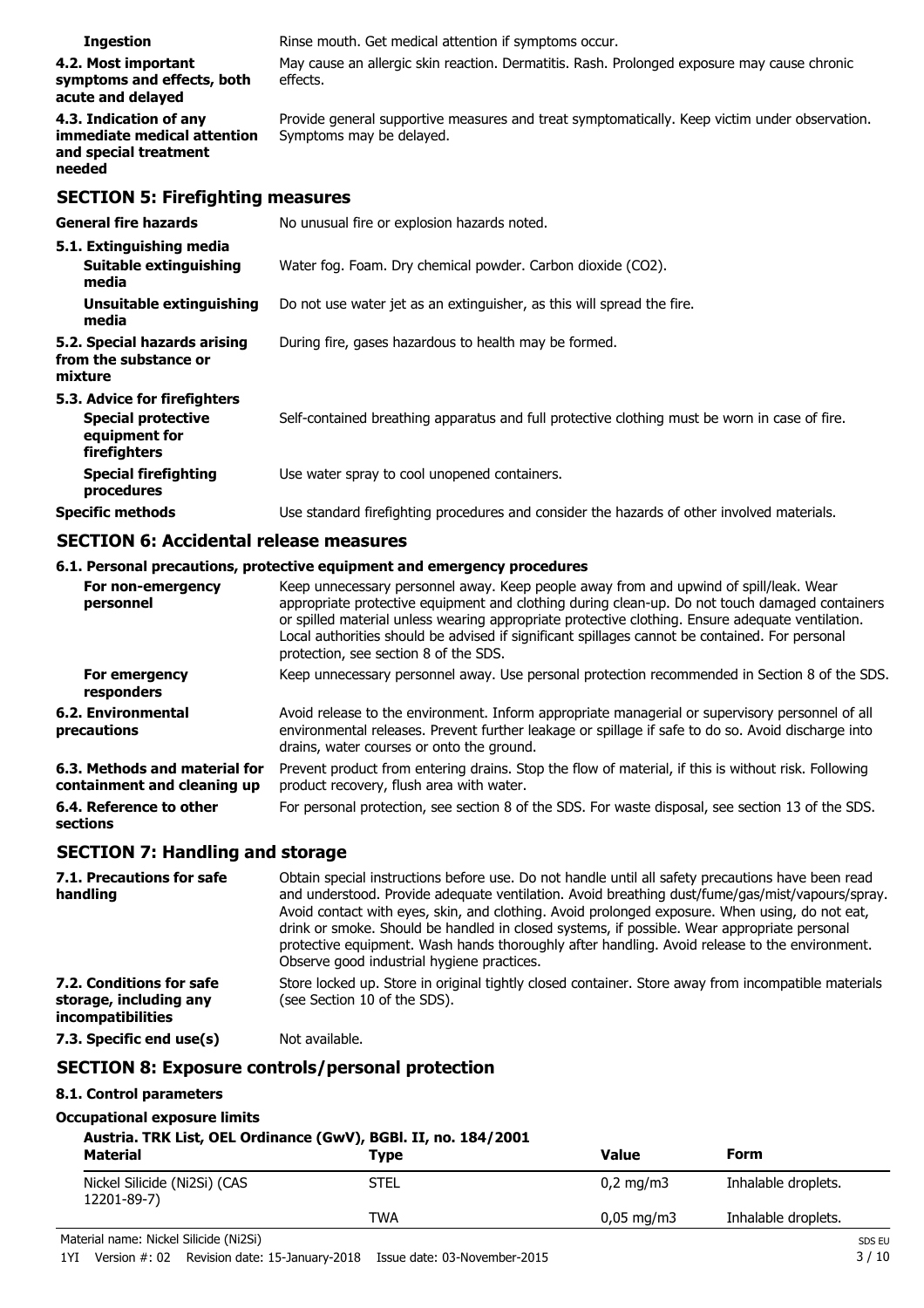| <b>Ingestion</b>                                                                           | Rinse mouth. Get medical attention if symptoms occur.                                                                     |
|--------------------------------------------------------------------------------------------|---------------------------------------------------------------------------------------------------------------------------|
| 4.2. Most important<br>symptoms and effects, both<br>acute and delayed                     | May cause an allergic skin reaction. Dermatitis. Rash. Prolonged exposure may cause chronic<br>effects.                   |
| 4.3. Indication of any<br>immediate medical attention<br>and special treatment<br>needed   | Provide general supportive measures and treat symptomatically. Keep victim under observation.<br>Symptoms may be delayed. |
| <b>SECTION 5: Firefighting measures</b>                                                    |                                                                                                                           |
| <b>General fire hazards</b>                                                                | No unusual fire or explosion hazards noted.                                                                               |
| 5.1. Extinguishing media<br><b>Suitable extinguishing</b><br>media                         | Water fog. Foam. Dry chemical powder. Carbon dioxide (CO2).                                                               |
| Unsuitable extinguishing<br>media                                                          | Do not use water jet as an extinguisher, as this will spread the fire.                                                    |
| 5.2. Special hazards arising<br>from the substance or<br>mixture                           | During fire, gases hazardous to health may be formed.                                                                     |
| 5.3. Advice for firefighters<br><b>Special protective</b><br>equipment for<br>firefighters | Self-contained breathing apparatus and full protective clothing must be worn in case of fire.                             |
| <b>Special firefighting</b><br>procedures                                                  | Use water spray to cool unopened containers.                                                                              |
| <b>Specific methods</b>                                                                    | Use standard firefighting procedures and consider the hazards of other involved materials.                                |

### **SECTION 6: Accidental release measures**

### **6.1. Personal precautions, protective equipment and emergency procedures**

| For non-emergency<br>personnel                               | Keep unnecessary personnel away. Keep people away from and upwind of spill/leak. Wear<br>appropriate protective equipment and clothing during clean-up. Do not touch damaged containers<br>or spilled material unless wearing appropriate protective clothing. Ensure adequate ventilation.<br>Local authorities should be advised if significant spillages cannot be contained. For personal<br>protection, see section 8 of the SDS. |
|--------------------------------------------------------------|----------------------------------------------------------------------------------------------------------------------------------------------------------------------------------------------------------------------------------------------------------------------------------------------------------------------------------------------------------------------------------------------------------------------------------------|
| For emergency<br>responders                                  | Keep unnecessary personnel away. Use personal protection recommended in Section 8 of the SDS.                                                                                                                                                                                                                                                                                                                                          |
| 6.2. Environmental<br>precautions                            | Avoid release to the environment. Inform appropriate managerial or supervisory personnel of all<br>environmental releases. Prevent further leakage or spillage if safe to do so. Avoid discharge into<br>drains, water courses or onto the ground.                                                                                                                                                                                     |
| 6.3. Methods and material for<br>containment and cleaning up | Prevent product from entering drains. Stop the flow of material, if this is without risk. Following<br>product recovery, flush area with water.                                                                                                                                                                                                                                                                                        |
| 6.4. Reference to other<br>sections                          | For personal protection, see section 8 of the SDS. For waste disposal, see section 13 of the SDS.                                                                                                                                                                                                                                                                                                                                      |

### **SECTION 7: Handling and storage**

| 7.1. Precautions for safe<br>handling                                   | Obtain special instructions before use. Do not handle until all safety precautions have been read<br>and understood. Provide adequate ventilation. Avoid breathing dust/fume/gas/mist/vapours/spray.<br>Avoid contact with eyes, skin, and clothing. Avoid prolonged exposure. When using, do not eat,<br>drink or smoke. Should be handled in closed systems, if possible. Wear appropriate personal<br>protective equipment. Wash hands thoroughly after handling. Avoid release to the environment.<br>Observe good industrial hygiene practices. |
|-------------------------------------------------------------------------|------------------------------------------------------------------------------------------------------------------------------------------------------------------------------------------------------------------------------------------------------------------------------------------------------------------------------------------------------------------------------------------------------------------------------------------------------------------------------------------------------------------------------------------------------|
| 7.2. Conditions for safe<br>storage, including any<br>incompatibilities | Store locked up. Store in original tightly closed container. Store away from incompatible materials<br>(see Section 10 of the SDS).                                                                                                                                                                                                                                                                                                                                                                                                                  |
| 7.3. Specific end use(s)                                                | Not available.                                                                                                                                                                                                                                                                                                                                                                                                                                                                                                                                       |

### **SECTION 8: Exposure controls/personal protection**

### **8.1. Control parameters**

### **Occupational exposure limits**

### **Austria. TRK List, OEL Ordinance (GwV), BGBl. II, no. 184/2001**

| .<br><b>Material</b>                        | <b>Type</b> | Value                 | Form                |
|---------------------------------------------|-------------|-----------------------|---------------------|
| Nickel Silicide (Ni2Si) (CAS<br>12201-89-7) | STEL        | $0.2 \text{ mg/m}$    | Inhalable droplets. |
|                                             | TWA         | $0,05 \text{ mg/m}$ 3 | Inhalable droplets. |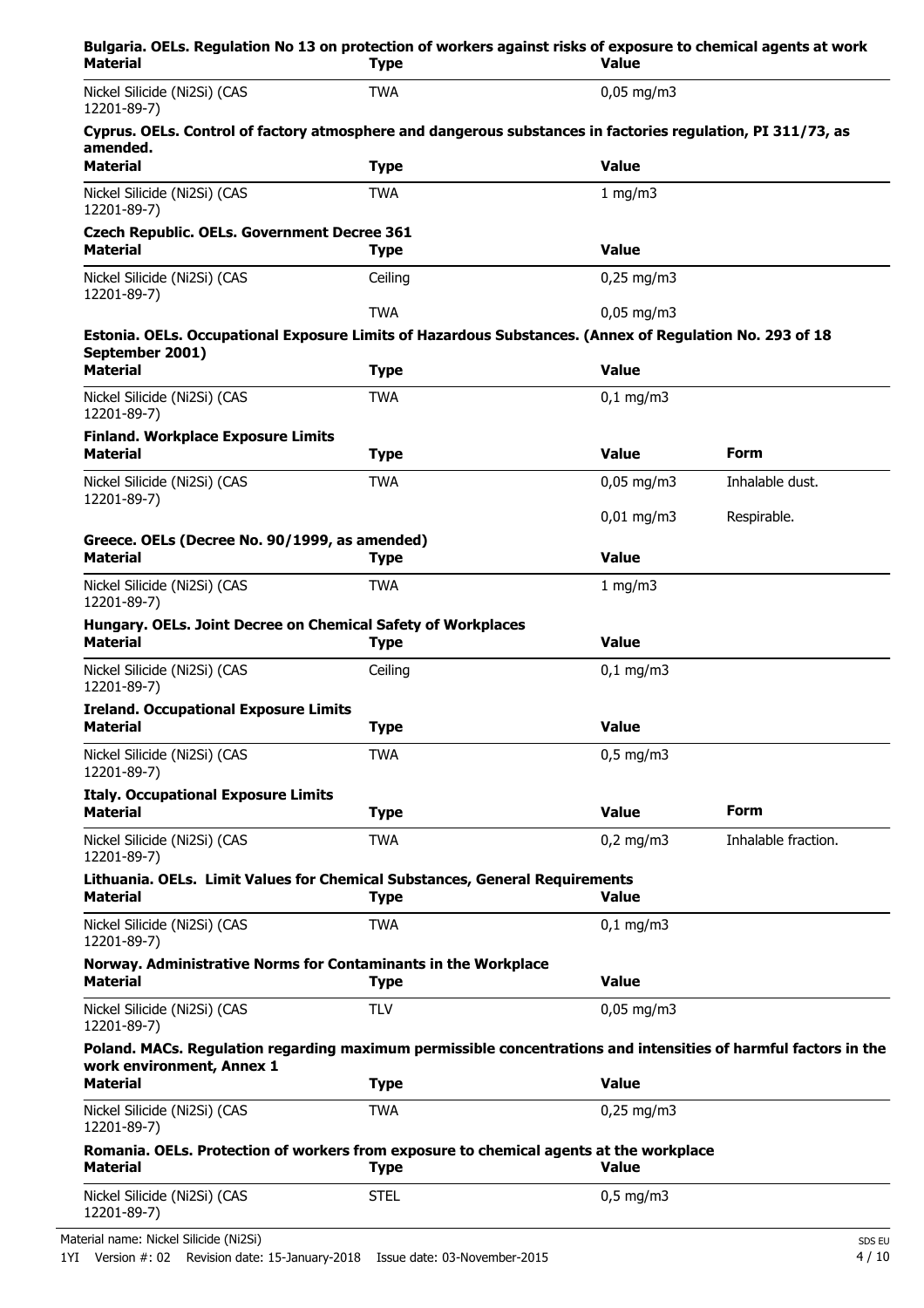| Bulgaria. OELs. Regulation No 13 on protection of workers against risks of exposure to chemical agents at work<br><b>Material</b>            | <b>Type</b> | <b>Value</b>          |                     |
|----------------------------------------------------------------------------------------------------------------------------------------------|-------------|-----------------------|---------------------|
| Nickel Silicide (Ni2Si) (CAS<br>12201-89-7)                                                                                                  | <b>TWA</b>  | $0.05$ mg/m3          |                     |
| Cyprus. OELs. Control of factory atmosphere and dangerous substances in factories regulation, PI 311/73, as<br>amended.                      |             |                       |                     |
| <b>Material</b>                                                                                                                              | <b>Type</b> | <b>Value</b>          |                     |
| Nickel Silicide (Ni2Si) (CAS<br>12201-89-7)                                                                                                  | <b>TWA</b>  | 1 mg/m3               |                     |
| <b>Czech Republic. OELs. Government Decree 361</b><br><b>Material</b>                                                                        | <b>Type</b> | <b>Value</b>          |                     |
| Nickel Silicide (Ni2Si) (CAS<br>12201-89-7)                                                                                                  | Ceiling     | $0,25$ mg/m3          |                     |
|                                                                                                                                              | <b>TWA</b>  | $0,05$ mg/m3          |                     |
| Estonia. OELs. Occupational Exposure Limits of Hazardous Substances. (Annex of Regulation No. 293 of 18<br>September 2001)                   |             |                       |                     |
| <b>Material</b>                                                                                                                              | <b>Type</b> | <b>Value</b>          |                     |
| Nickel Silicide (Ni2Si) (CAS<br>12201-89-7)                                                                                                  | <b>TWA</b>  | $0,1$ mg/m3           |                     |
| <b>Finland. Workplace Exposure Limits</b><br><b>Material</b>                                                                                 | <b>Type</b> | <b>Value</b>          | Form                |
| Nickel Silicide (Ni2Si) (CAS                                                                                                                 | <b>TWA</b>  | $0,05 \text{ mg/m}$ 3 | Inhalable dust.     |
| 12201-89-7)                                                                                                                                  |             | $0,01$ mg/m3          | Respirable.         |
| Greece. OELs (Decree No. 90/1999, as amended)<br><b>Material</b>                                                                             | <b>Type</b> | <b>Value</b>          |                     |
| Nickel Silicide (Ni2Si) (CAS<br>12201-89-7)                                                                                                  | <b>TWA</b>  | 1 mg/m3               |                     |
| Hungary. OELs. Joint Decree on Chemical Safety of Workplaces<br><b>Material</b>                                                              | Type        | <b>Value</b>          |                     |
| Nickel Silicide (Ni2Si) (CAS<br>12201-89-7)                                                                                                  | Ceiling     | $0,1$ mg/m3           |                     |
| <b>Ireland. Occupational Exposure Limits</b><br>Material                                                                                     | <b>Type</b> | <b>Value</b>          |                     |
|                                                                                                                                              |             |                       |                     |
| Nickel Silicide (Ni2Si) (CAS<br>12201-89-7)                                                                                                  | <b>TWA</b>  | $0,5$ mg/m3           |                     |
| <b>Italy. Occupational Exposure Limits</b><br><b>Material</b>                                                                                | <b>Type</b> | <b>Value</b>          | Form                |
| Nickel Silicide (Ni2Si) (CAS<br>12201-89-7)                                                                                                  | <b>TWA</b>  | $0,2$ mg/m3           | Inhalable fraction. |
| Lithuania. OELs. Limit Values for Chemical Substances, General Requirements<br><b>Material</b>                                               | <b>Type</b> | <b>Value</b>          |                     |
| Nickel Silicide (Ni2Si) (CAS<br>12201-89-7)                                                                                                  | <b>TWA</b>  | $0,1 \, \text{mg/m}$  |                     |
| Norway. Administrative Norms for Contaminants in the Workplace<br><b>Material</b>                                                            | <b>Type</b> | <b>Value</b>          |                     |
| Nickel Silicide (Ni2Si) (CAS<br>12201-89-7)                                                                                                  | <b>TLV</b>  | $0,05$ mg/m3          |                     |
| Poland. MACs. Regulation regarding maximum permissible concentrations and intensities of harmful factors in the<br>work environment, Annex 1 |             |                       |                     |
| <b>Material</b>                                                                                                                              | <b>Type</b> | <b>Value</b>          |                     |
| Nickel Silicide (Ni2Si) (CAS<br>12201-89-7)                                                                                                  | <b>TWA</b>  | $0,25$ mg/m3          |                     |
| Romania. OELs. Protection of workers from exposure to chemical agents at the workplace<br><b>Material</b>                                    | <b>Type</b> | <b>Value</b>          |                     |
| Nickel Silicide (Ni2Si) (CAS<br>12201-89-7)                                                                                                  | <b>STEL</b> | $0,5$ mg/m3           |                     |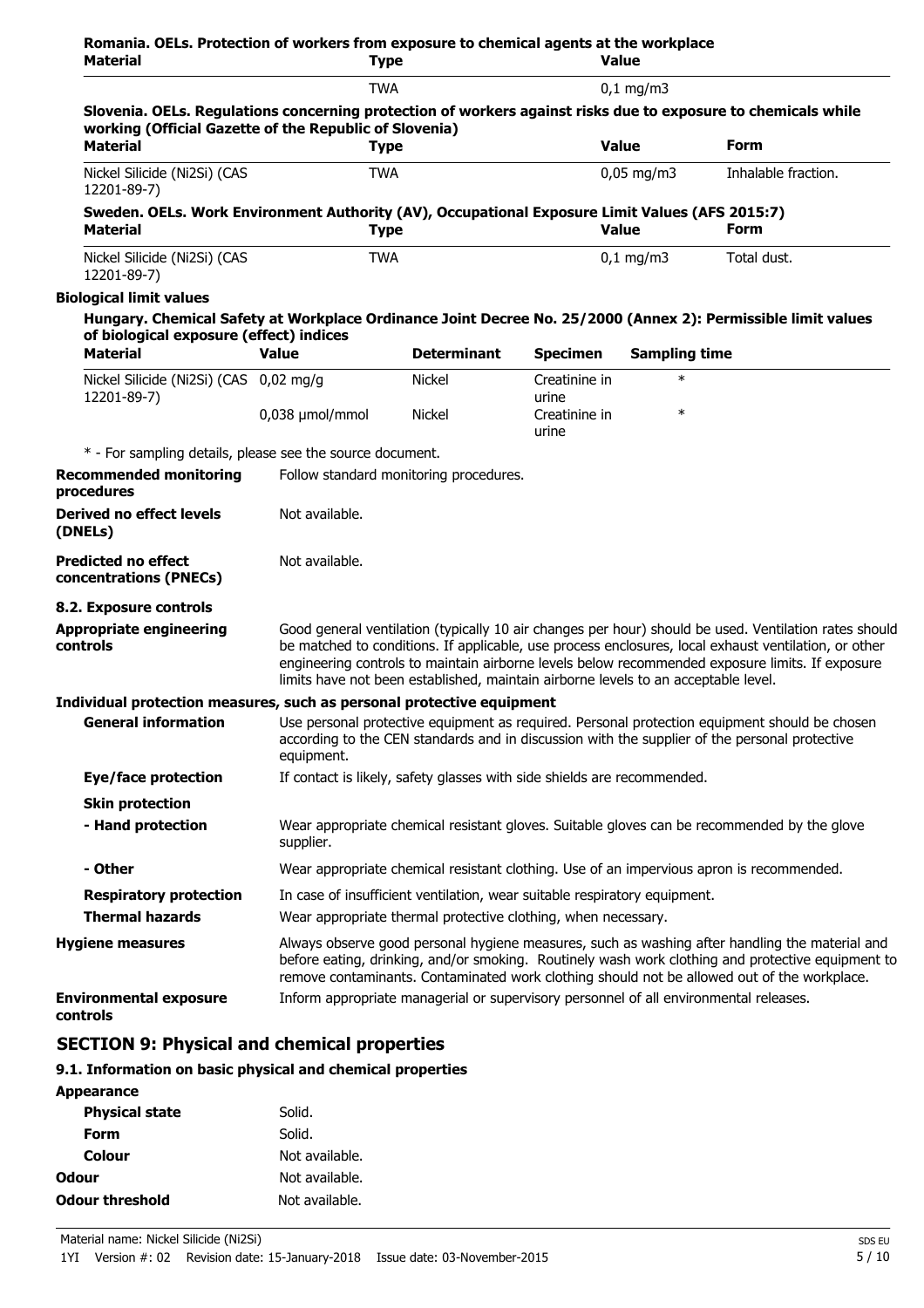| Material                                                                                                                                                                | <b>Type</b>                                                                                                                                                                                                                                                                                        |                                                                                                                                                                                                                                                                                                                                                                                                        |                        | <b>Value</b>          |                     |
|-------------------------------------------------------------------------------------------------------------------------------------------------------------------------|----------------------------------------------------------------------------------------------------------------------------------------------------------------------------------------------------------------------------------------------------------------------------------------------------|--------------------------------------------------------------------------------------------------------------------------------------------------------------------------------------------------------------------------------------------------------------------------------------------------------------------------------------------------------------------------------------------------------|------------------------|-----------------------|---------------------|
|                                                                                                                                                                         | <b>TWA</b>                                                                                                                                                                                                                                                                                         |                                                                                                                                                                                                                                                                                                                                                                                                        |                        | $0.1 \text{ mg/m}$    |                     |
| Slovenia. OELs. Regulations concerning protection of workers against risks due to exposure to chemicals while<br>working (Official Gazette of the Republic of Slovenia) |                                                                                                                                                                                                                                                                                                    |                                                                                                                                                                                                                                                                                                                                                                                                        |                        |                       |                     |
| <b>Material</b>                                                                                                                                                         | <b>Type</b>                                                                                                                                                                                                                                                                                        |                                                                                                                                                                                                                                                                                                                                                                                                        |                        | <b>Value</b>          | Form                |
| Nickel Silicide (Ni2Si) (CAS<br>12201-89-7)                                                                                                                             | <b>TWA</b>                                                                                                                                                                                                                                                                                         |                                                                                                                                                                                                                                                                                                                                                                                                        |                        | $0,05 \text{ mg/m}$ 3 | Inhalable fraction. |
| Sweden. OELs. Work Environment Authority (AV), Occupational Exposure Limit Values (AFS 2015:7)<br><b>Material</b>                                                       | <b>Type</b>                                                                                                                                                                                                                                                                                        |                                                                                                                                                                                                                                                                                                                                                                                                        |                        | <b>Value</b>          | Form                |
| Nickel Silicide (Ni2Si) (CAS<br>12201-89-7)                                                                                                                             | <b>TWA</b>                                                                                                                                                                                                                                                                                         |                                                                                                                                                                                                                                                                                                                                                                                                        |                        | $0,1$ mg/m3           | Total dust.         |
| <b>Biological limit values</b>                                                                                                                                          |                                                                                                                                                                                                                                                                                                    |                                                                                                                                                                                                                                                                                                                                                                                                        |                        |                       |                     |
| Hungary. Chemical Safety at Workplace Ordinance Joint Decree No. 25/2000 (Annex 2): Permissible limit values<br>of biological exposure (effect) indices                 |                                                                                                                                                                                                                                                                                                    |                                                                                                                                                                                                                                                                                                                                                                                                        |                        |                       |                     |
| <b>Material</b>                                                                                                                                                         | <b>Value</b>                                                                                                                                                                                                                                                                                       | <b>Determinant</b>                                                                                                                                                                                                                                                                                                                                                                                     | <b>Specimen</b>        | <b>Sampling time</b>  |                     |
| Nickel Silicide (Ni2Si) (CAS 0,02 mg/g<br>12201-89-7)                                                                                                                   |                                                                                                                                                                                                                                                                                                    | <b>Nickel</b>                                                                                                                                                                                                                                                                                                                                                                                          | Creatinine in<br>urine | $\ast$                |                     |
|                                                                                                                                                                         | 0,038 µmol/mmol                                                                                                                                                                                                                                                                                    | <b>Nickel</b>                                                                                                                                                                                                                                                                                                                                                                                          | Creatinine in<br>urine | $\ast$                |                     |
| * - For sampling details, please see the source document.                                                                                                               |                                                                                                                                                                                                                                                                                                    |                                                                                                                                                                                                                                                                                                                                                                                                        |                        |                       |                     |
| <b>Recommended monitoring</b><br>procedures                                                                                                                             |                                                                                                                                                                                                                                                                                                    | Follow standard monitoring procedures.                                                                                                                                                                                                                                                                                                                                                                 |                        |                       |                     |
| <b>Derived no effect levels</b><br>(DNELs)                                                                                                                              | Not available.                                                                                                                                                                                                                                                                                     |                                                                                                                                                                                                                                                                                                                                                                                                        |                        |                       |                     |
| <b>Predicted no effect</b><br>concentrations (PNECs)                                                                                                                    | Not available.                                                                                                                                                                                                                                                                                     |                                                                                                                                                                                                                                                                                                                                                                                                        |                        |                       |                     |
| 8.2. Exposure controls                                                                                                                                                  |                                                                                                                                                                                                                                                                                                    |                                                                                                                                                                                                                                                                                                                                                                                                        |                        |                       |                     |
| <b>Appropriate engineering</b><br>controls                                                                                                                              |                                                                                                                                                                                                                                                                                                    | Good general ventilation (typically 10 air changes per hour) should be used. Ventilation rates should<br>be matched to conditions. If applicable, use process enclosures, local exhaust ventilation, or other<br>engineering controls to maintain airborne levels below recommended exposure limits. If exposure<br>limits have not been established, maintain airborne levels to an acceptable level. |                        |                       |                     |
| Individual protection measures, such as personal protective equipment                                                                                                   |                                                                                                                                                                                                                                                                                                    |                                                                                                                                                                                                                                                                                                                                                                                                        |                        |                       |                     |
| <b>General information</b>                                                                                                                                              | equipment.                                                                                                                                                                                                                                                                                         | Use personal protective equipment as required. Personal protection equipment should be chosen<br>according to the CEN standards and in discussion with the supplier of the personal protective                                                                                                                                                                                                         |                        |                       |                     |
| <b>Eye/face protection</b>                                                                                                                                              |                                                                                                                                                                                                                                                                                                    | If contact is likely, safety glasses with side shields are recommended.                                                                                                                                                                                                                                                                                                                                |                        |                       |                     |
| <b>Skin protection</b>                                                                                                                                                  |                                                                                                                                                                                                                                                                                                    |                                                                                                                                                                                                                                                                                                                                                                                                        |                        |                       |                     |
| - Hand protection                                                                                                                                                       | Wear appropriate chemical resistant gloves. Suitable gloves can be recommended by the glove<br>supplier.                                                                                                                                                                                           |                                                                                                                                                                                                                                                                                                                                                                                                        |                        |                       |                     |
| - Other                                                                                                                                                                 | Wear appropriate chemical resistant clothing. Use of an impervious apron is recommended.                                                                                                                                                                                                           |                                                                                                                                                                                                                                                                                                                                                                                                        |                        |                       |                     |
| <b>Respiratory protection</b>                                                                                                                                           |                                                                                                                                                                                                                                                                                                    | In case of insufficient ventilation, wear suitable respiratory equipment.                                                                                                                                                                                                                                                                                                                              |                        |                       |                     |
| <b>Thermal hazards</b>                                                                                                                                                  |                                                                                                                                                                                                                                                                                                    | Wear appropriate thermal protective clothing, when necessary.                                                                                                                                                                                                                                                                                                                                          |                        |                       |                     |
| <b>Hygiene measures</b>                                                                                                                                                 | Always observe good personal hygiene measures, such as washing after handling the material and<br>before eating, drinking, and/or smoking. Routinely wash work clothing and protective equipment to<br>remove contaminants. Contaminated work clothing should not be allowed out of the workplace. |                                                                                                                                                                                                                                                                                                                                                                                                        |                        |                       |                     |
|                                                                                                                                                                         |                                                                                                                                                                                                                                                                                                    |                                                                                                                                                                                                                                                                                                                                                                                                        |                        |                       |                     |

### **SECTION 9: Physical and chemical properties**

### **9.1. Information on basic physical and chemical properties**

| <b>Appearance</b>      |                |
|------------------------|----------------|
| <b>Physical state</b>  | Solid.         |
| Form                   | Solid.         |
| Colour                 | Not available. |
| Odour                  | Not available. |
| <b>Odour threshold</b> | Not available. |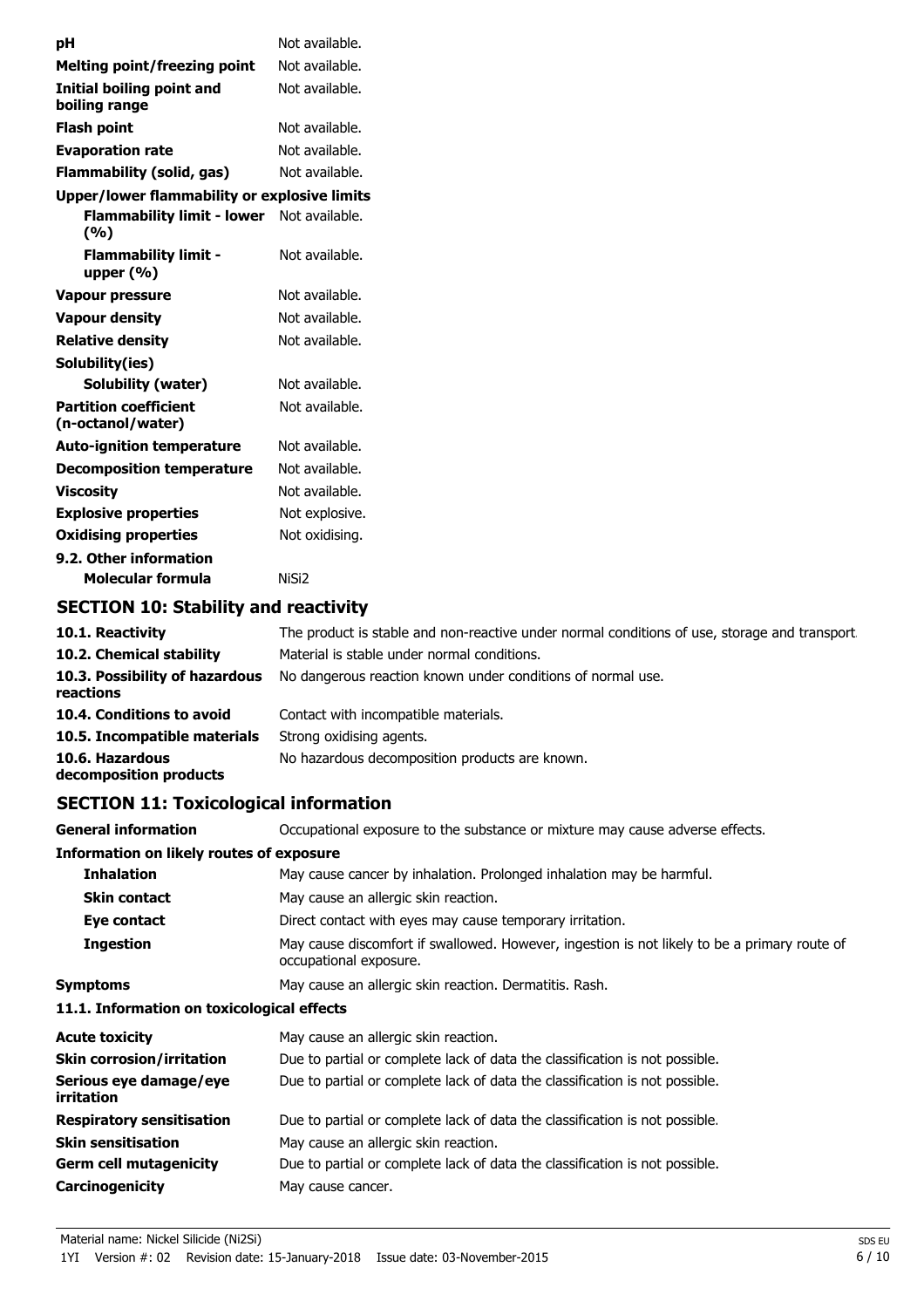| рH                                                  | Not available. |
|-----------------------------------------------------|----------------|
| <b>Melting point/freezing point</b>                 | Not available. |
| Initial boiling point and<br>boiling range          | Not available. |
| Flash point                                         | Not available. |
| <b>Evaporation rate</b>                             | Not available. |
| Flammability (solid, gas)                           | Not available. |
| <b>Upper/lower flammability or explosive limits</b> |                |
| <b>Flammability limit - lower</b><br>(%)            | Not available. |
| <b>Flammability limit -</b><br>upper $(\%)$         | Not available. |
| Vapour pressure                                     | Not available. |
| <b>Vapour density</b>                               | Not available. |
| <b>Relative density</b>                             | Not available. |
| Solubility(ies)                                     |                |
| <b>Solubility (water)</b>                           | Not available. |
| <b>Partition coefficient</b><br>(n-octanol/water)   | Not available. |
| <b>Auto-ignition temperature</b>                    | Not available. |
| <b>Decomposition temperature</b>                    | Not available. |
| <b>Viscosity</b>                                    | Not available. |
| <b>Explosive properties</b>                         | Not explosive. |
| <b>Oxidising properties</b>                         | Not oxidising. |
| 9.2. Other information                              |                |
| Molecular formula                                   | NiSi2          |

### **SECTION 10: Stability and reactivity**

| 10.1. Reactivity                            | The product is stable and non-reactive under normal conditions of use, storage and transport |
|---------------------------------------------|----------------------------------------------------------------------------------------------|
| 10.2. Chemical stability                    | Material is stable under normal conditions.                                                  |
| 10.3. Possibility of hazardous<br>reactions | No dangerous reaction known under conditions of normal use.                                  |
| 10.4. Conditions to avoid                   | Contact with incompatible materials.                                                         |
| 10.5. Incompatible materials                | Strong oxidising agents.                                                                     |
| 10.6. Hazardous<br>decomposition products   | No hazardous decomposition products are known.                                               |

### **SECTION 11: Toxicological information**

| <b>General information</b>                      | Occupational exposure to the substance or mixture may cause adverse effects.                                           |  |
|-------------------------------------------------|------------------------------------------------------------------------------------------------------------------------|--|
| <b>Information on likely routes of exposure</b> |                                                                                                                        |  |
| <b>Inhalation</b>                               | May cause cancer by inhalation. Prolonged inhalation may be harmful.                                                   |  |
| <b>Skin contact</b>                             | May cause an allergic skin reaction.                                                                                   |  |
| Eye contact                                     | Direct contact with eyes may cause temporary irritation.                                                               |  |
| <b>Ingestion</b>                                | May cause discomfort if swallowed. However, ingestion is not likely to be a primary route of<br>occupational exposure. |  |
| <b>Symptoms</b>                                 | May cause an allergic skin reaction. Dermatitis. Rash.                                                                 |  |
| 11.1. Information on toxicological effects      |                                                                                                                        |  |
| <b>Acute toxicity</b>                           | May cause an allergic skin reaction.                                                                                   |  |
| <b>Skin corrosion/irritation</b>                | Due to partial or complete lack of data the classification is not possible.                                            |  |
| Serious eye damage/eye<br>irritation            | Due to partial or complete lack of data the classification is not possible.                                            |  |
| <b>Respiratory sensitisation</b>                | Due to partial or complete lack of data the classification is not possible.                                            |  |
| <b>Skin sensitisation</b>                       | May cause an allergic skin reaction.                                                                                   |  |
| <b>Germ cell mutagenicity</b>                   | Due to partial or complete lack of data the classification is not possible.                                            |  |
| <b>Carcinogenicity</b>                          | May cause cancer.                                                                                                      |  |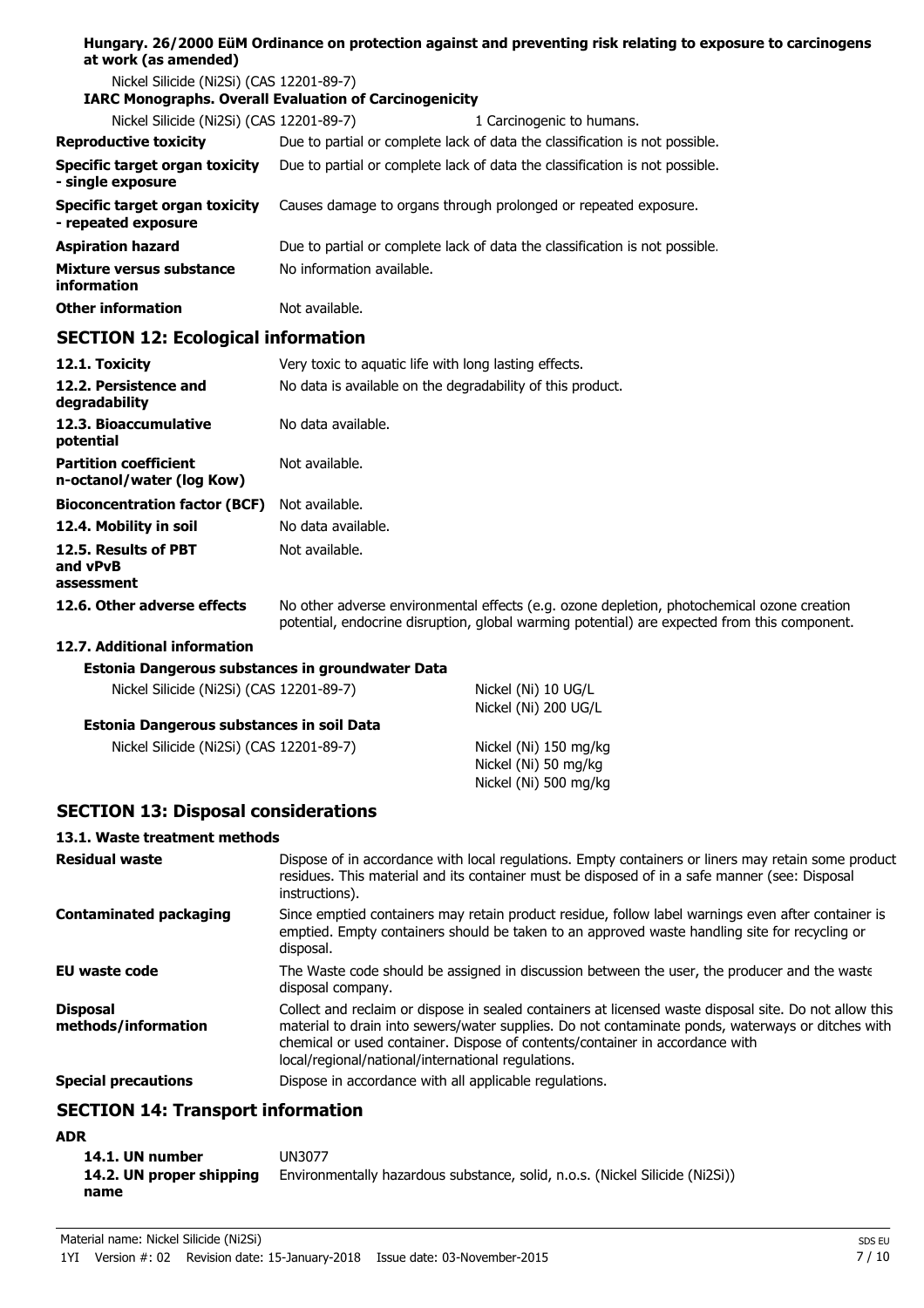### **Hungary. 26/2000 EüM Ordinance on protection against and preventing risk relating to exposure to carcinogens at work (as amended)**

Nickel Silicide (Ni2Si) (CAS 12201-89-7)

#### **IARC Monographs. Overall Evaluation of Carcinogenicity**

| Nickel Silicide (Ni2Si) (CAS 12201-89-7)                     | 1 Carcinogenic to humans.                                                   |
|--------------------------------------------------------------|-----------------------------------------------------------------------------|
| <b>Reproductive toxicity</b>                                 | Due to partial or complete lack of data the classification is not possible. |
| <b>Specific target organ toxicity</b><br>- single exposure   | Due to partial or complete lack of data the classification is not possible. |
| <b>Specific target organ toxicity</b><br>- repeated exposure | Causes damage to organs through prolonged or repeated exposure.             |
| <b>Aspiration hazard</b>                                     | Due to partial or complete lack of data the classification is not possible. |
| Mixture versus substance<br>information                      | No information available.                                                   |
| <b>Other information</b>                                     | Not available.                                                              |

### **SECTION 12: Ecological information**

| 12.1. Toxicity                                            | Very toxic to aguatic life with long lasting effects.                                                                                                                                      |
|-----------------------------------------------------------|--------------------------------------------------------------------------------------------------------------------------------------------------------------------------------------------|
| 12.2. Persistence and<br>degradability                    | No data is available on the degradability of this product.                                                                                                                                 |
| 12.3. Bioaccumulative<br>potential                        | No data available.                                                                                                                                                                         |
| <b>Partition coefficient</b><br>n-octanol/water (log Kow) | Not available.                                                                                                                                                                             |
| <b>Bioconcentration factor (BCF)</b>                      | Not available.                                                                                                                                                                             |
| 12.4. Mobility in soil                                    | No data available.                                                                                                                                                                         |
| 12.5. Results of PBT<br>and vPvB<br>assessment            | Not available.                                                                                                                                                                             |
| 12.6. Other adverse effects                               | No other adverse environmental effects (e.g. ozone depletion, photochemical ozone creation<br>potential, endocrine disruption, global warming potential) are expected from this component. |
| 12.7. Additional information                              |                                                                                                                                                                                            |
| Estonia Dangerous substances in groundwater Data          |                                                                                                                                                                                            |

| Estonia Dangerous substances in groundwater Data |                     |
|--------------------------------------------------|---------------------|
| Nickel Silicide (Ni2Si) (CAS 12201-89-7)         | Nickel (Ni) 10 UG/L |

|  | Estonia Dangerous substances in soil Data |  |  |
|--|-------------------------------------------|--|--|

| Nickel Silicide (Ni2Si) (CAS 12201-89-7) | Nickel (Ni) 150 mg/kg |
|------------------------------------------|-----------------------|
|                                          | Nickel (Ni) 50 mg/kg  |
|                                          | Nickel (Ni) 500 mg/kg |

### **SECTION 13: Disposal considerations**

#### **13.1. Waste treatment methods**

| <b>Residual waste</b>                  | Dispose of in accordance with local regulations. Empty containers or liners may retain some product<br>residues. This material and its container must be disposed of in a safe manner (see: Disposal<br>instructions).                                                                                                                            |
|----------------------------------------|---------------------------------------------------------------------------------------------------------------------------------------------------------------------------------------------------------------------------------------------------------------------------------------------------------------------------------------------------|
| <b>Contaminated packaging</b>          | Since emptied containers may retain product residue, follow label warnings even after container is<br>emptied. Empty containers should be taken to an approved waste handling site for recycling or<br>disposal.                                                                                                                                  |
| EU waste code                          | The Waste code should be assigned in discussion between the user, the producer and the waste<br>disposal company.                                                                                                                                                                                                                                 |
| <b>Disposal</b><br>methods/information | Collect and reclaim or dispose in sealed containers at licensed waste disposal site. Do not allow this<br>material to drain into sewers/water supplies. Do not contaminate ponds, waterways or ditches with<br>chemical or used container. Dispose of contents/container in accordance with<br>local/regional/national/international regulations. |
| <b>Special precautions</b>             | Dispose in accordance with all applicable regulations.                                                                                                                                                                                                                                                                                            |

Nickel (Ni) 200 UG/L

### **SECTION 14: Transport information**

### **ADR**

| 14.1. UN number          | UN3077                                                                       |
|--------------------------|------------------------------------------------------------------------------|
| 14.2. UN proper shipping | Environmentally hazardous substance, solid, n.o.s. (Nickel Silicide (Ni2Si)) |
| name                     |                                                                              |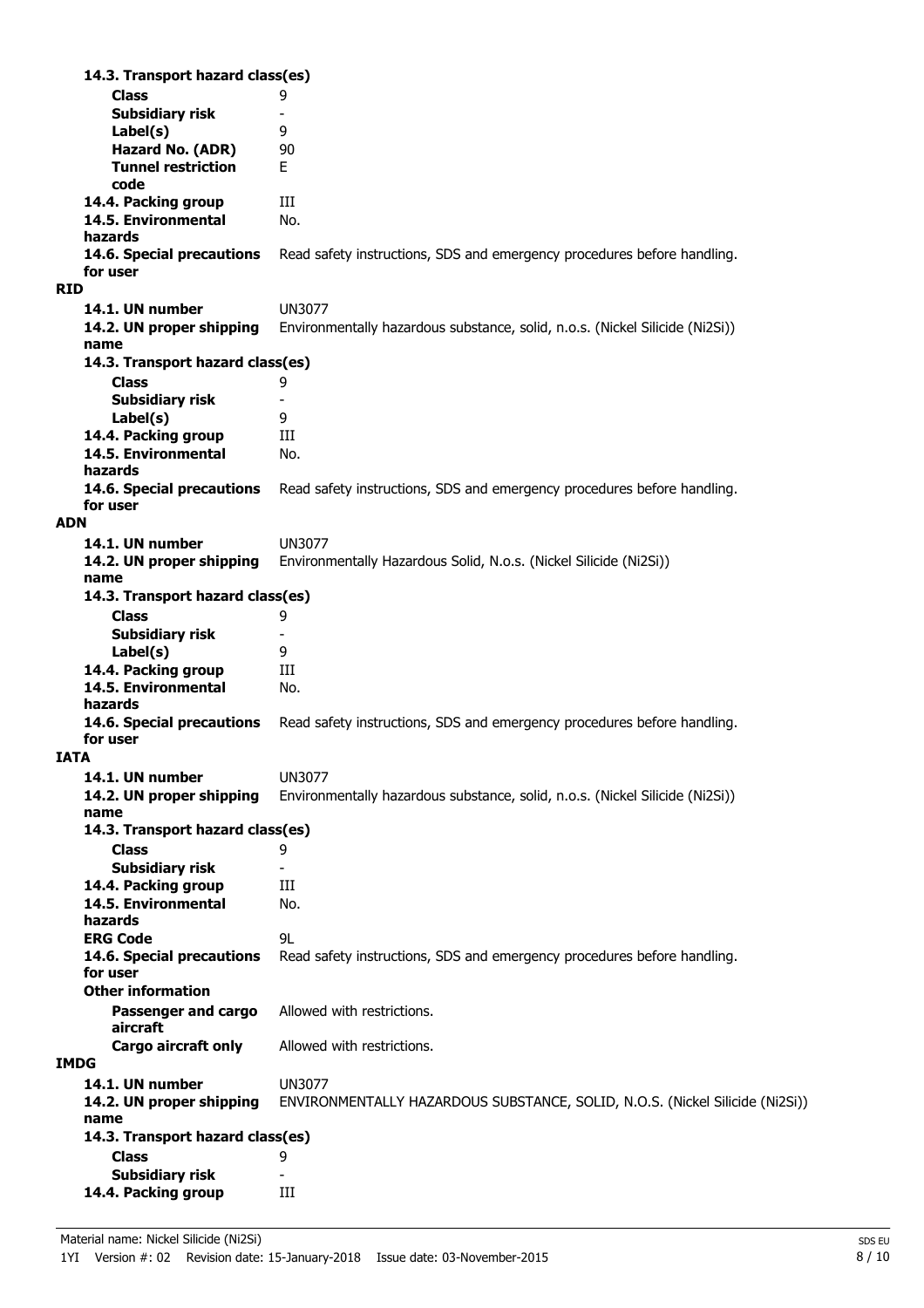| 14.3. Transport hazard class(es)  |                                                                              |
|-----------------------------------|------------------------------------------------------------------------------|
| <b>Class</b>                      | 9                                                                            |
| <b>Subsidiary risk</b>            | $\overline{\phantom{a}}$                                                     |
| Label(s)                          | 9                                                                            |
| Hazard No. (ADR)                  | 90                                                                           |
| <b>Tunnel restriction</b><br>code | E.                                                                           |
| 14.4. Packing group               | Ш                                                                            |
| 14.5. Environmental               | No.                                                                          |
| hazards                           |                                                                              |
| 14.6. Special precautions         | Read safety instructions, SDS and emergency procedures before handling.      |
| for user                          |                                                                              |
| <b>RID</b>                        |                                                                              |
| 14.1. UN number                   | <b>UN3077</b>                                                                |
| 14.2. UN proper shipping          | Environmentally hazardous substance, solid, n.o.s. (Nickel Silicide (Ni2Si)) |
| name                              |                                                                              |
| 14.3. Transport hazard class(es)  |                                                                              |
| <b>Class</b>                      | 9                                                                            |
| <b>Subsidiary risk</b>            | $\overline{\phantom{a}}$                                                     |
| Label(s)                          | 9                                                                            |
| 14.4. Packing group               | Ш                                                                            |
| 14.5. Environmental               | No.                                                                          |
| hazards                           |                                                                              |
| 14.6. Special precautions         | Read safety instructions, SDS and emergency procedures before handling.      |
| for user                          |                                                                              |
| <b>ADN</b>                        |                                                                              |
| 14.1. UN number                   | UN3077                                                                       |
| 14.2. UN proper shipping          | Environmentally Hazardous Solid, N.o.s. (Nickel Silicide (Ni2Si))            |
| name                              |                                                                              |
| 14.3. Transport hazard class(es)  |                                                                              |
| <b>Class</b>                      | 9                                                                            |
| <b>Subsidiary risk</b>            |                                                                              |
| Label(s)                          | 9                                                                            |
| 14.4. Packing group               | Ш                                                                            |
| 14.5. Environmental<br>hazards    | No.                                                                          |
| 14.6. Special precautions         | Read safety instructions, SDS and emergency procedures before handling.      |
| for user                          |                                                                              |
| <b>IATA</b>                       |                                                                              |
| 14.1. UN number                   | <b>UN3077</b>                                                                |
| 14.2. UN proper shipping          | Environmentally hazardous substance, solid, n.o.s. (Nickel Silicide (Ni2Si)) |
| name                              |                                                                              |
| 14.3. Transport hazard class(es)  |                                                                              |
| <b>Class</b>                      | 9                                                                            |
| <b>Subsidiary risk</b>            |                                                                              |
| 14.4. Packing group               | Ш                                                                            |
| 14.5. Environmental               | No.                                                                          |
| hazards                           |                                                                              |
| <b>ERG Code</b>                   | 9L                                                                           |
| 14.6. Special precautions         | Read safety instructions, SDS and emergency procedures before handling.      |
| for user                          |                                                                              |
| <b>Other information</b>          |                                                                              |
| Passenger and cargo               | Allowed with restrictions.                                                   |
| aircraft                          |                                                                              |
| Cargo aircraft only               | Allowed with restrictions.                                                   |
| <b>IMDG</b>                       |                                                                              |
| 14.1. UN number                   | <b>UN3077</b>                                                                |
| 14.2. UN proper shipping          | ENVIRONMENTALLY HAZARDOUS SUBSTANCE, SOLID, N.O.S. (Nickel Silicide (Ni2Si)) |
| name                              |                                                                              |
| 14.3. Transport hazard class(es)  |                                                                              |
| <b>Class</b>                      | 9                                                                            |
| <b>Subsidiary risk</b>            |                                                                              |
| 14.4. Packing group               | Ш                                                                            |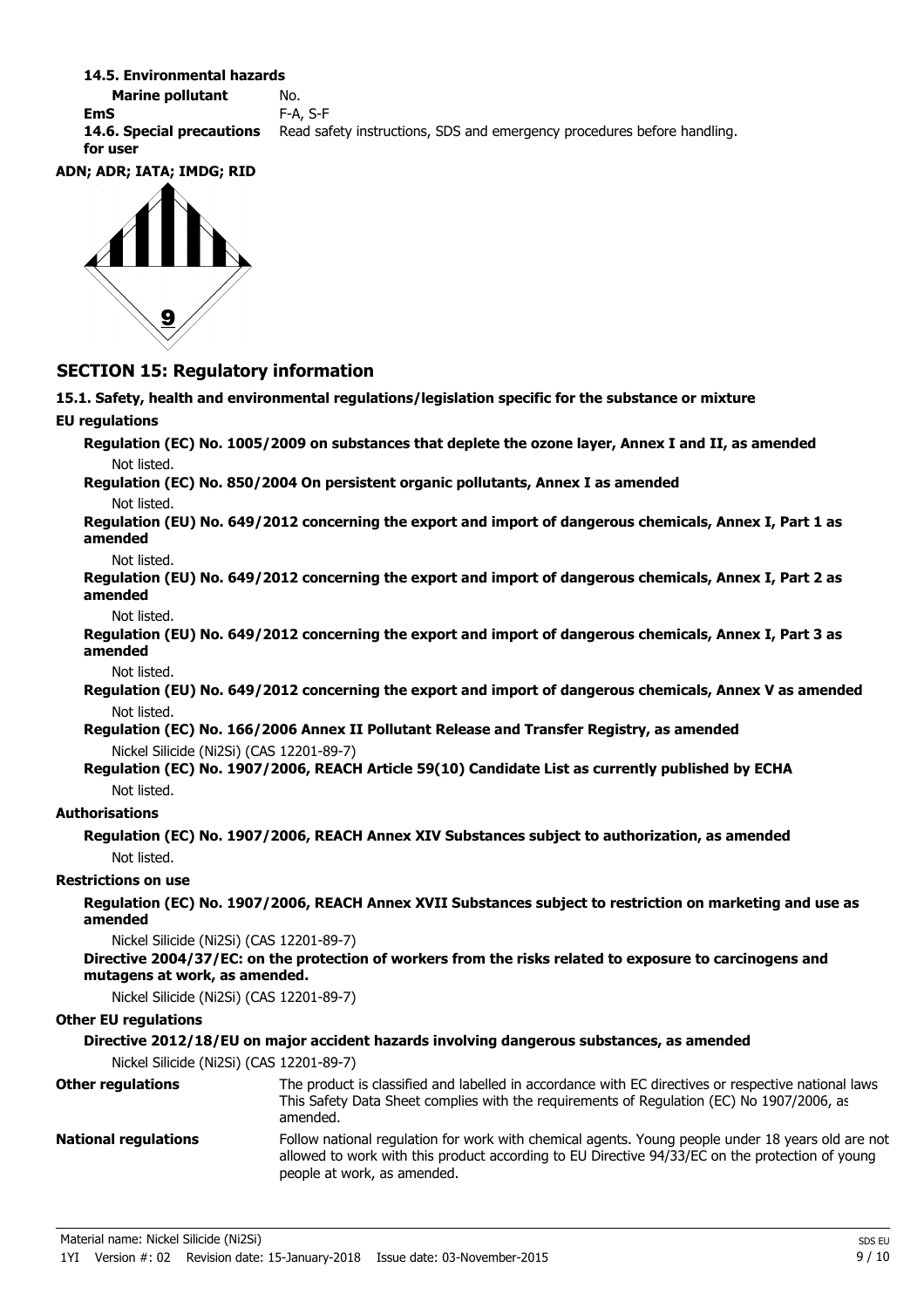#### **14.5. Environmental hazards**

**Marine pollutant** No. **EmS** F-A, S-F **14.6. Special precautions** Read safety instructions, SDS and emergency procedures before handling. **for user**

#### **ADN; ADR; IATA; IMDG; RID**



### **SECTION 15: Regulatory information**

**15.1. Safety, health and environmental regulations/legislation specific for the substance or mixture**

### **EU regulations**

**Regulation (EC) No. 1005/2009 on substances that deplete the ozone layer, Annex I and II, as amended** Not listed.

**Regulation (EC) No. 850/2004 On persistent organic pollutants, Annex I as amended** Not listed.

**Regulation (EU) No. 649/2012 concerning the export and import of dangerous chemicals, Annex I, Part 1 as amended**

Not listed.

**Regulation (EU) No. 649/2012 concerning the export and import of dangerous chemicals, Annex I, Part 2 as amended**

Not listed.

**Regulation (EU) No. 649/2012 concerning the export and import of dangerous chemicals, Annex I, Part 3 as amended**

Not listed.

**Regulation (EU) No. 649/2012 concerning the export and import of dangerous chemicals, Annex V as amended** Not listed.

**Regulation (EC) No. 166/2006 Annex II Pollutant Release and Transfer Registry, as amended** Nickel Silicide (Ni2Si) (CAS 12201-89-7)

**Regulation (EC) No. 1907/2006, REACH Article 59(10) Candidate List as currently published by ECHA** Not listed.

#### **Authorisations**

**Regulation (EC) No. 1907/2006, REACH Annex XIV Substances subject to authorization, as amended** Not listed.

#### **Restrictions on use**

**Regulation (EC) No. 1907/2006, REACH Annex XVII Substances subject to restriction on marketing and use as amended**

Nickel Silicide (Ni2Si) (CAS 12201-89-7)

**Directive 2004/37/EC: on the protection of workers from the risks related to exposure to carcinogens and mutagens at work, as amended.**

Nickel Silicide (Ni2Si) (CAS 12201-89-7)

#### **Other EU regulations**

#### **Directive 2012/18/EU on major accident hazards involving dangerous substances, as amended**

Nickel Silicide (Ni2Si) (CAS 12201-89-7)

| <b>Other regulations</b>    | The product is classified and labelled in accordance with EC directives or respective national laws<br>This Safety Data Sheet complies with the requirements of Regulation (EC) No 1907/2006, as<br>amended.                        |
|-----------------------------|-------------------------------------------------------------------------------------------------------------------------------------------------------------------------------------------------------------------------------------|
| <b>National regulations</b> | Follow national regulation for work with chemical agents. Young people under 18 years old are not<br>allowed to work with this product according to EU Directive 94/33/EC on the protection of young<br>people at work, as amended. |